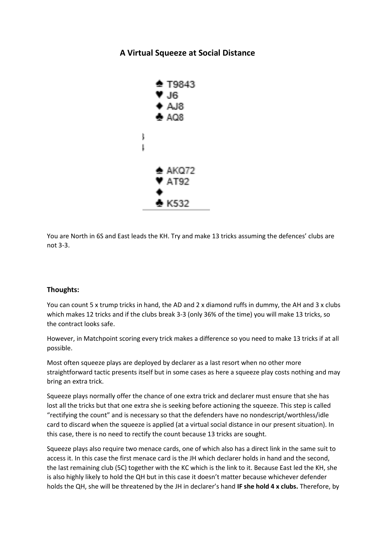## **A Virtual Squeeze at Social Distance**



You are North in 6S and East leads the KH. Try and make 13 tricks assuming the defences' clubs are not 3-3.

## **Thoughts:**

You can count 5 x trump tricks in hand, the AD and 2 x diamond ruffs in dummy, the AH and 3 x clubs which makes 12 tricks and if the clubs break 3-3 (only 36% of the time) you will make 13 tricks, so the contract looks safe.

However, in Matchpoint scoring every trick makes a difference so you need to make 13 tricks if at all possible.

Most often squeeze plays are deployed by declarer as a last resort when no other more straightforward tactic presents itself but in some cases as here a squeeze play costs nothing and may bring an extra trick.

Squeeze plays normally offer the chance of one extra trick and declarer must ensure that she has lost all the tricks but that one extra she is seeking before actioning the squeeze. This step is called "rectifying the count" and is necessary so that the defenders have no nondescript/worthless/idle card to discard when the squeeze is applied (at a virtual social distance in our present situation). In this case, there is no need to rectify the count because 13 tricks are sought.

Squeeze plays also require two menace cards, one of which also has a direct link in the same suit to access it. In this case the first menace card is the JH which declarer holds in hand and the second, the last remaining club (5C) together with the KC which is the link to it. Because East led the KH, she is also highly likely to hold the QH but in this case it doesn't matter because whichever defender holds the QH, she will be threatened by the JH in declarer's hand **IF she hold 4 x clubs.** Therefore, by